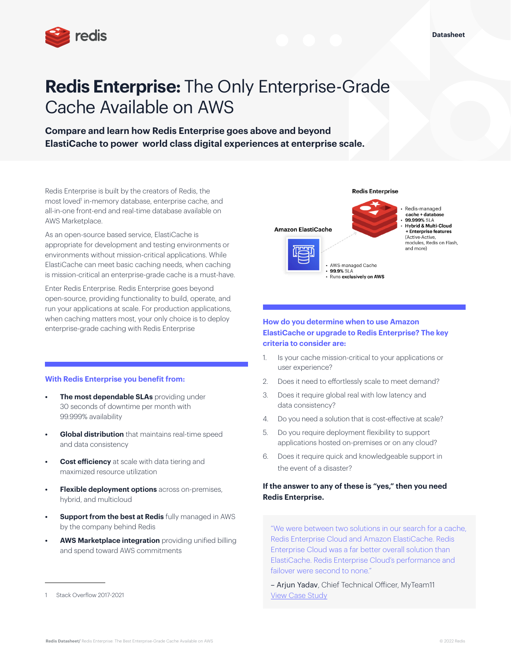

# **Redis Enterprise:** The Only Enterprise-Grade Cache Available on AWS

**Compare and learn how Redis Enterprise goes above and beyond ElastiCache to power world class digital experiences at enterprise scale.**

Redis Enterprise is built by the creators of Redis, the most loved<sup>1</sup> in-memory database, enterprise cache, and all-in-one front-end and real-time database available on AWS Marketplace.

As an open-source based service, ElastiCache is appropriate for development and testing environments or environments without mission-critical applications. While ElastiCache can meet basic caching needs, when caching is mission-critical an enterprise-grade cache is a must-have.

Enter Redis Enterprise. Redis Enterprise goes beyond open-source, providing functionality to build, operate, and run your applications at scale. For production applications, when caching matters most, your only choice is to deploy enterprise-grade caching with Redis Enterprise

#### **With Redis Enterprise you benefit from:**

- **The most dependable SLAs** providing under 30 seconds of downtime per month with 99.999% availability
- **• Global distribution** that maintains real-time speed and data consistency
- **Cost efficiency** at scale with data tiering and maximized resource utilization
- **Flexible deployment options** across on-premises, hybrid, and multicloud
- **• Support from the best at Redis** fully managed in AWS by the company behind Redis
- **• AWS Marketplace integration** providing unified billing and spend toward AWS commitments

#### Redis-managed cache + database 99.999% SLA<br>Hybrid & Multi-Cloud **Amazon ElastiCache Enterprise features** (Active-Active, modules, Redis on Flash, and more) AWS-managed Cache 99.9% SLA

**Redis Enterprise** 

## **How do you determine when to use Amazon ElastiCache or upgrade to Redis Enterprise? The key criteria to consider are:**

· Runs exclusively on AWS

- 1. Is your cache mission-critical to your applications or user experience?
- 2. Does it need to effortlessly scale to meet demand?
- 3. Does it require global real with low latency and data consistency?
- 4. Do you need a solution that is cost-effective at scale?
- 5. Do you require deployment flexibility to support applications hosted on-premises or on any cloud?
- 6. Does it require quick and knowledgeable support in the event of a disaster?

## **If the answer to any of these is "yes," then you need Redis Enterprise.**

"We were between two solutions in our search for a cache, Redis Enterprise Cloud and Amazon ElastiCache. Redis Enterprise Cloud was a far better overall solution than ElastiCache. Redis Enterprise Cloud's performance and failover were second to none."

– Arjun Yadav, Chief Technical Officer, MyTeam11 [View Case Study](https://redis.com/customers/myteam11/)

Stack Overflow 2017-2021